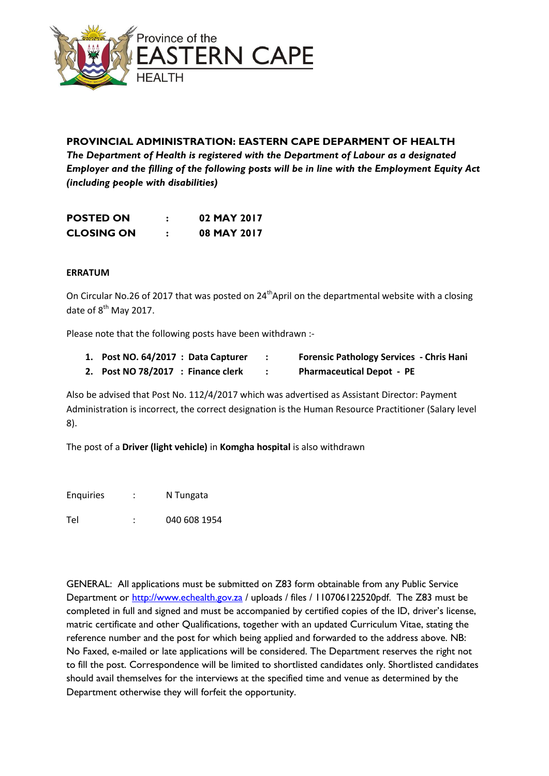

## **PROVINCIAL ADMINISTRATION: EASTERN CAPE DEPARMENT OF HEALTH**

*The Department of Health is registered with the Department of Labour as a designated Employer and the filling of the following posts will be in line with the Employment Equity Act (including people with disabilities)*

| <b>POSTED ON</b>  | 02 MAY 2017 |
|-------------------|-------------|
| <b>CLOSING ON</b> | 08 MAY 2017 |

## **ERRATUM**

On Circular No.26 of 2017 that was posted on 24<sup>th</sup> April on the departmental website with a closing date of  $8^{th}$  May 2017.

Please note that the following posts have been withdrawn :-

- **1. Post NO. 64/2017 : Data Capturer : Forensic Pathology Services - Chris Hani**
- **2. Post NO 78/2017 : Finance clerk : Pharmaceutical Depot PE**

Also be advised that Post No. 112/4/2017 which was advertised as Assistant Director: Payment Administration is incorrect, the correct designation is the Human Resource Practitioner (Salary level 8).

The post of a **Driver (light vehicle)** in **Komgha hospital** is also withdrawn

Enquiries : N Tungata

Tel : 040 608 1954

GENERAL: All applications must be submitted on Z83 form obtainable from any Public Service Department or [http://www.echealth.gov.za](http://www.echealth.gov.za/) / uploads / files / 110706122520pdf. The Z83 must be completed in full and signed and must be accompanied by certified copies of the ID, driver's license, matric certificate and other Qualifications, together with an updated Curriculum Vitae, stating the reference number and the post for which being applied and forwarded to the address above. NB: No Faxed, e-mailed or late applications will be considered. The Department reserves the right not to fill the post. Correspondence will be limited to shortlisted candidates only. Shortlisted candidates should avail themselves for the interviews at the specified time and venue as determined by the Department otherwise they will forfeit the opportunity.